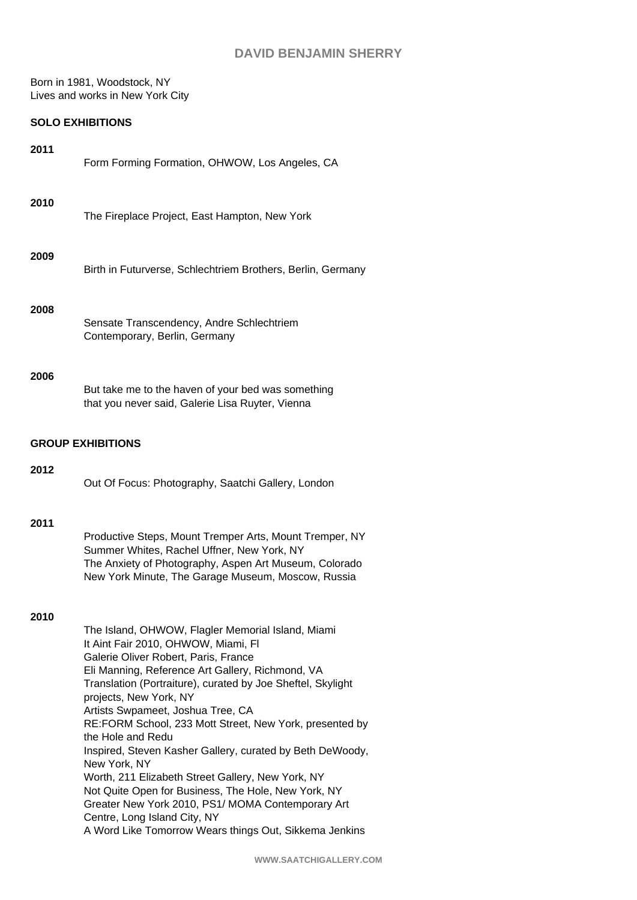# **DAVID BENJAMIN SHERRY**

Born in 1981, Woodstock, NY Lives and works in New York City

## **SOLO EXHIBITIONS**

| 2011 | Form Forming Formation, OHWOW, Los Angeles, CA                                                                                                                                                                                                                                                                                                                                                                                                                                                                                                                                                                                                                                   |  |  |  |  |  |
|------|----------------------------------------------------------------------------------------------------------------------------------------------------------------------------------------------------------------------------------------------------------------------------------------------------------------------------------------------------------------------------------------------------------------------------------------------------------------------------------------------------------------------------------------------------------------------------------------------------------------------------------------------------------------------------------|--|--|--|--|--|
| 2010 | The Fireplace Project, East Hampton, New York                                                                                                                                                                                                                                                                                                                                                                                                                                                                                                                                                                                                                                    |  |  |  |  |  |
| 2009 | Birth in Futurverse, Schlechtriem Brothers, Berlin, Germany                                                                                                                                                                                                                                                                                                                                                                                                                                                                                                                                                                                                                      |  |  |  |  |  |
| 2008 | Sensate Transcendency, Andre Schlechtriem<br>Contemporary, Berlin, Germany                                                                                                                                                                                                                                                                                                                                                                                                                                                                                                                                                                                                       |  |  |  |  |  |
| 2006 | But take me to the haven of your bed was something<br>that you never said, Galerie Lisa Ruyter, Vienna                                                                                                                                                                                                                                                                                                                                                                                                                                                                                                                                                                           |  |  |  |  |  |
|      | <b>GROUP EXHIBITIONS</b>                                                                                                                                                                                                                                                                                                                                                                                                                                                                                                                                                                                                                                                         |  |  |  |  |  |
| 2012 | Out Of Focus: Photography, Saatchi Gallery, London                                                                                                                                                                                                                                                                                                                                                                                                                                                                                                                                                                                                                               |  |  |  |  |  |
| 2011 | Productive Steps, Mount Tremper Arts, Mount Tremper, NY<br>Summer Whites, Rachel Uffner, New York, NY<br>The Anxiety of Photography, Aspen Art Museum, Colorado<br>New York Minute, The Garage Museum, Moscow, Russia                                                                                                                                                                                                                                                                                                                                                                                                                                                            |  |  |  |  |  |
| 2010 | The Island, OHWOW, Flagler Memorial Island, Miami<br>It Aint Fair 2010, OHWOW, Miami, FI<br>Galerie Oliver Robert, Paris, France<br>Eli Manning, Reference Art Gallery, Richmond, VA<br>Translation (Portraiture), curated by Joe Sheftel, Skylight<br>projects, New York, NY<br>Artists Swpameet, Joshua Tree, CA<br>RE:FORM School, 233 Mott Street, New York, presented by<br>the Hole and Redu<br>Inspired, Steven Kasher Gallery, curated by Beth DeWoody,<br>New York, NY<br>Worth, 211 Elizabeth Street Gallery, New York, NY<br>Not Quite Open for Business, The Hole, New York, NY<br>Greater New York 2010, PS1/ MOMA Contemporary Art<br>Centre, Long Island City, NY |  |  |  |  |  |
|      | A Word Like Tomorrow Wears things Out, Sikkema Jenkins                                                                                                                                                                                                                                                                                                                                                                                                                                                                                                                                                                                                                           |  |  |  |  |  |

| a Like Tomonow Wears things Out, Oikkerna Jenkins |  |  |  |
|---------------------------------------------------|--|--|--|
|                                                   |  |  |  |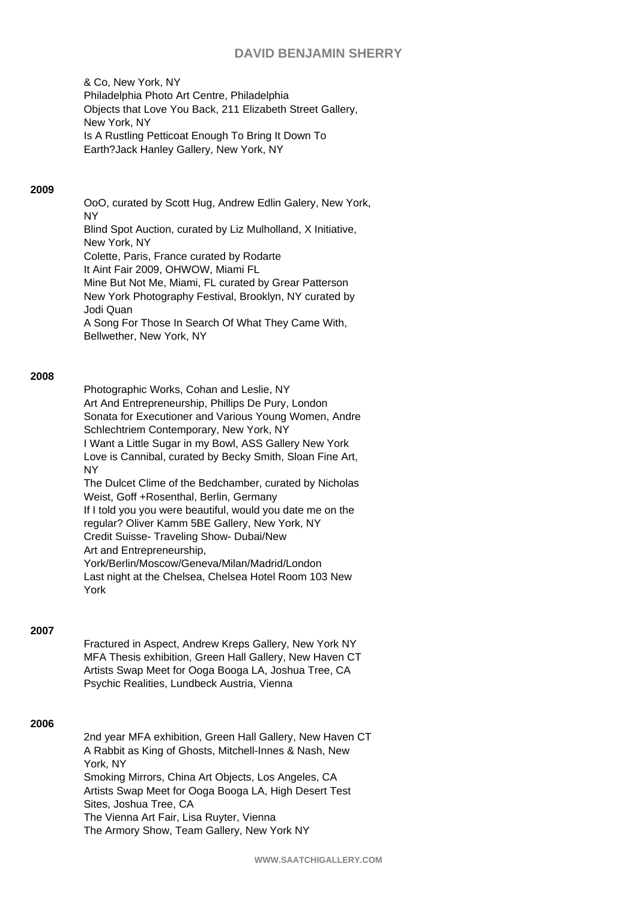## **DAVID BENJAMIN SHERRY**

& Co, New York, NY Philadelphia Photo Art Centre, Philadelphia Objects that Love You Back, 211 Elizabeth Street Gallery, New York, NY Is A Rustling Petticoat Enough To Bring It Down To Earth?Jack Hanley Gallery, New York, NY

### **2009**

OoO, curated by Scott Hug, Andrew Edlin Galery, New York, NY Blind Spot Auction, curated by Liz Mulholland, X Initiative, New York, NY Colette, Paris, France curated by Rodarte It Aint Fair 2009, OHWOW, Miami FL Mine But Not Me, Miami, FL curated by Grear Patterson New York Photography Festival, Brooklyn, NY curated by Jodi Quan A Song For Those In Search Of What They Came With, Bellwether, New York, NY

## **2008**

Photographic Works, Cohan and Leslie, NY Art And Entrepreneurship, Phillips De Pury, London Sonata for Executioner and Various Young Women, Andre Schlechtriem Contemporary, New York, NY I Want a Little Sugar in my Bowl, ASS Gallery New York Love is Cannibal, curated by Becky Smith, Sloan Fine Art, NY The Dulcet Clime of the Bedchamber, curated by Nicholas Weist, Goff +Rosenthal, Berlin, Germany If I told you you were beautiful, would you date me on the regular? Oliver Kamm 5BE Gallery, New York, NY Credit Suisse- Traveling Show- Dubai/New Art and Entrepreneurship, York/Berlin/Moscow/Geneva/Milan/Madrid/London Last night at the Chelsea, Chelsea Hotel Room 103 New York

## **2007**

Fractured in Aspect, Andrew Kreps Gallery, New York NY MFA Thesis exhibition, Green Hall Gallery, New Haven CT Artists Swap Meet for Ooga Booga LA, Joshua Tree, CA Psychic Realities, Lundbeck Austria, Vienna

## **2006**

2nd year MFA exhibition, Green Hall Gallery, New Haven CT A Rabbit as King of Ghosts, Mitchell-Innes & Nash, New York, NY Smoking Mirrors, China Art Objects, Los Angeles, CA Artists Swap Meet for Ooga Booga LA, High Desert Test Sites, Joshua Tree, CA The Vienna Art Fair, Lisa Ruyter, Vienna The Armory Show, Team Gallery, New York NY